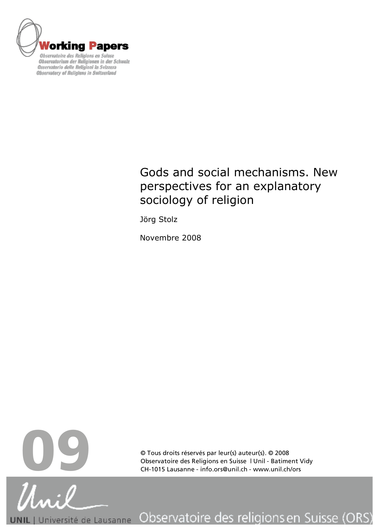

**Observatory of Religions in Switzerland** 

# Gods and social mechanisms. New perspectives for an explanatory sociology of religion

Jörg Stolz

Novembre 2008



© Tous droits réservés par leur(s) auteur(s). © 2008

Observatoire des religions en Suisse (ORS) Université de Lausanne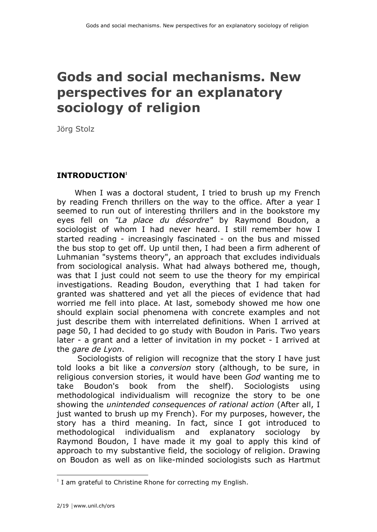# **Gods and social mechanisms. New perspectives for an explanatory sociology of religion**

Jörg Stolz

### **INTRODUCTION<sup>1</sup>**

When I was a doctoral student, I tried to brush up my French by reading French thrillers on the way to the office. After a year I seemed to run out of interesting thrillers and in the bookstore my eyes fell on *"La place du désordre"* by Raymond Boudon, a sociologist of whom I had never heard. I still remember how I started reading - increasingly fascinated - on the bus and missed the bus stop to get off. Up until then, I had been a firm adherent of Luhmanian "systems theory", an approach that excludes individuals from sociological analysis. What had always bothered me, though, was that I just could not seem to use the theory for my empirical investigations. Reading Boudon, everything that I had taken for granted was shattered and yet all the pieces of evidence that had worried me fell into place. At last, somebody showed me how one should explain social phenomena with concrete examples and not just describe them with interrelated definitions. When I arrived at page 50, I had decided to go study with Boudon in Paris. Two years later - a grant and a letter of invitation in my pocket - I arrived at the *gare de Lyon*.

 Sociologists of religion will recognize that the story I have just told looks a bit like a *conversion* story (although, to be sure, in religious conversion stories, it would have been *God* wanting me to take Boudon's book from the shelf). Sociologists using methodological individualism will recognize the story to be one showing the *unintended consequences of rational action* (After all, I just wanted to brush up my French). For my purposes, however, the story has a third meaning. In fact, since I got introduced to methodological individualism and explanatory sociology by Raymond Boudon, I have made it my goal to apply this kind of approach to my substantive field, the sociology of religion. Drawing on Boudon as well as on like-minded sociologists such as Hartmut

 $\frac{1}{1}$  $1$  I am grateful to Christine Rhone for correcting my English.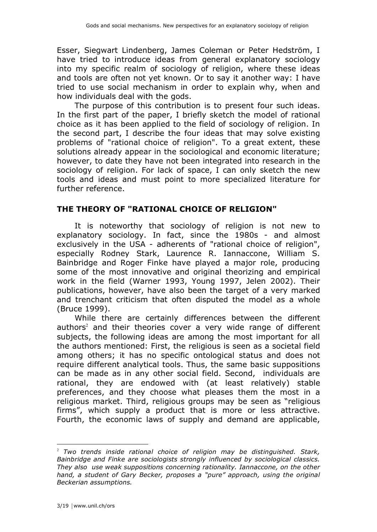Esser, Siegwart Lindenberg, James Coleman or Peter Hedström, I have tried to introduce ideas from general explanatory sociology into my specific realm of sociology of religion, where these ideas and tools are often not yet known. Or to say it another way: I have tried to use social mechanism in order to explain why, when and how individuals deal with the gods.

The purpose of this contribution is to present four such ideas. In the first part of the paper, I briefly sketch the model of rational choice as it has been applied to the field of sociology of religion. In the second part, I describe the four ideas that may solve existing problems of "rational choice of religion". To a great extent, these solutions already appear in the sociological and economic literature; however, to date they have not been integrated into research in the sociology of religion. For lack of space, I can only sketch the new tools and ideas and must point to more specialized literature for further reference.

### **THE THEORY OF "RATIONAL CHOICE OF RELIGION"**

It is noteworthy that sociology of religion is not new to explanatory sociology. In fact, since the 1980s - and almost exclusively in the USA - adherents of "rational choice of religion", especially Rodney Stark, Laurence R. Iannaccone, William S. Bainbridge and Roger Finke have played a major role, producing some of the most innovative and original theorizing and empirical work in the field (Warner 1993, Young 1997, Jelen 2002). Their publications, however, have also been the target of a very marked and trenchant criticism that often disputed the model as a whole (Bruce 1999).

While there are certainly differences between the different authors<sup>2</sup> and their theories cover a very wide range of different subjects, the following ideas are among the most important for all the authors mentioned: First, the religious is seen as a societal field among others; it has no specific ontological status and does not require different analytical tools. Thus, the same basic suppositions can be made as in any other social field. Second, individuals are rational, they are endowed with (at least relatively) stable preferences, and they choose what pleases them the most in a religious market. Third, religious groups may be seen as "religious firms", which supply a product that is more or less attractive. Fourth, the economic laws of supply and demand are applicable,

 $\overline{a}$ <sup>2</sup> *Two trends inside rational choice of religion may be distinguished. Stark, Bainbridge and Finke are sociologists strongly influenced by sociological classics. They also use weak suppositions concerning rationality. Iannaccone, on the other hand, a student of Gary Becker, proposes a "pure" approach, using the original Beckerian assumptions.*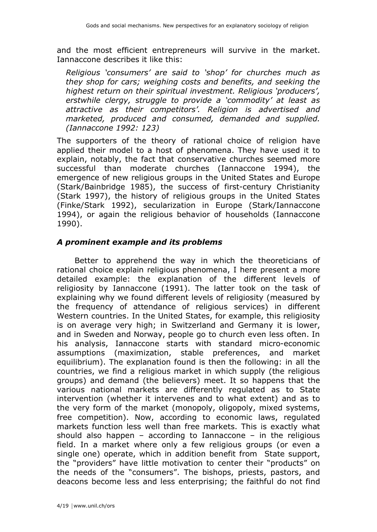and the most efficient entrepreneurs will survive in the market. Iannaccone describes it like this:

*Religious 'consumers' are said to 'shop' for churches much as they shop for cars; weighing costs and benefits, and seeking the highest return on their spiritual investment. Religious 'producers', erstwhile clergy, struggle to provide a 'commodity' at least as attractive as their competitors'. Religion is advertised and marketed, produced and consumed, demanded and supplied. (Iannaccone 1992: 123)*

The supporters of the theory of rational choice of religion have applied their model to a host of phenomena. They have used it to explain, notably, the fact that conservative churches seemed more successful than moderate churches (Iannaccone 1994), the emergence of new religious groups in the United States and Europe (Stark/Bainbridge 1985), the success of first-century Christianity (Stark 1997), the history of religious groups in the United States (Finke/Stark 1992), secularization in Europe (Stark/Iannaccone 1994), or again the religious behavior of households (Iannaccone 1990).

#### *A prominent example and its problems*

Better to apprehend the way in which the theoreticians of rational choice explain religious phenomena, I here present a more detailed example: the explanation of the different levels of religiosity by Iannaccone (1991). The latter took on the task of explaining why we found different levels of religiosity (measured by the frequency of attendance of religious services) in different Western countries. In the United States, for example, this religiosity is on average very high; in Switzerland and Germany it is lower, and in Sweden and Norway, people go to church even less often. In his analysis, Iannaccone starts with standard micro-economic assumptions (maximization, stable preferences, and market equilibrium). The explanation found is then the following: in all the countries, we find a religious market in which supply (the religious groups) and demand (the believers) meet. It so happens that the various national markets are differently regulated as to State intervention (whether it intervenes and to what extent) and as to the very form of the market (monopoly, oligopoly, mixed systems, free competition). Now, according to economic laws, regulated markets function less well than free markets. This is exactly what should also happen – according to Iannaccone – in the religious field. In a market where only a few religious groups (or even a single one) operate, which in addition benefit from State support, the "providers" have little motivation to center their "products" on the needs of the "consumers". The bishops, priests, pastors, and deacons become less and less enterprising; the faithful do not find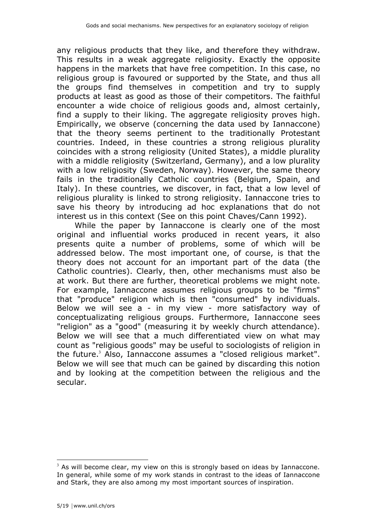any religious products that they like, and therefore they withdraw. This results in a weak aggregate religiosity. Exactly the opposite happens in the markets that have free competition. In this case, no religious group is favoured or supported by the State, and thus all the groups find themselves in competition and try to supply products at least as good as those of their competitors. The faithful encounter a wide choice of religious goods and, almost certainly, find a supply to their liking. The aggregate religiosity proves high. Empirically, we observe (concerning the data used by Iannaccone) that the theory seems pertinent to the traditionally Protestant countries. Indeed, in these countries a strong religious plurality coincides with a strong religiosity (United States), a middle plurality with a middle religiosity (Switzerland, Germany), and a low plurality with a low religiosity (Sweden, Norway). However, the same theory fails in the traditionally Catholic countries (Belgium, Spain, and Italy). In these countries, we discover, in fact, that a low level of religious plurality is linked to strong religiosity. Iannaccone tries to save his theory by introducing ad hoc explanations that do not interest us in this context (See on this point Chaves/Cann 1992).

While the paper by Iannaccone is clearly one of the most original and influential works produced in recent years, it also presents quite a number of problems, some of which will be addressed below. The most important one, of course, is that the theory does not account for an important part of the data (the Catholic countries). Clearly, then, other mechanisms must also be at work. But there are further, theoretical problems we might note. For example, Iannaccone assumes religious groups to be "firms" that "produce" religion which is then "consumed" by individuals. Below we will see a - in my view - more satisfactory way of conceptualizating religious groups. Furthermore, Iannaccone sees "religion" as a "good" (measuring it by weekly church attendance). Below we will see that a much differentiated view on what may count as "religious goods" may be useful to sociologists of religion in the future.<sup>3</sup> Also, Iannaccone assumes a "closed religious market". Below we will see that much can be gained by discarding this notion and by looking at the competition between the religious and the secular.

<sup>&</sup>lt;sup>2</sup><br>3  $3$  As will become clear, my view on this is strongly based on ideas by Iannaccone. In general, while some of my work stands in contrast to the ideas of Iannaccone and Stark, they are also among my most important sources of inspiration.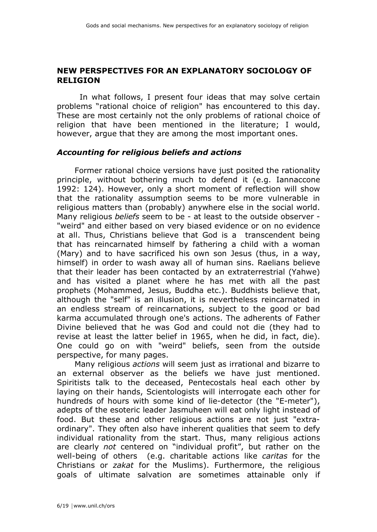#### **NEW PERSPECTIVES FOR AN EXPLANATORY SOCIOLOGY OF RELIGION**

In what follows, I present four ideas that may solve certain problems "rational choice of religion" has encountered to this day. These are most certainly not the only problems of rational choice of religion that have been mentioned in the literature; I would, however, argue that they are among the most important ones.

#### *Accounting for religious beliefs and actions*

Former rational choice versions have just posited the rationality principle, without bothering much to defend it (e.g. Iannaccone 1992: 124). However, only a short moment of reflection will show that the rationality assumption seems to be more vulnerable in religious matters than (probably) anywhere else in the social world. Many religious *beliefs* seem to be - at least to the outside observer - "weird" and either based on very biased evidence or on no evidence at all. Thus, Christians believe that God is a transcendent being that has reincarnated himself by fathering a child with a woman (Mary) and to have sacrificed his own son Jesus (thus, in a way, himself) in order to wash away all of human sins. Raelians believe that their leader has been contacted by an extraterrestrial (Yahwe) and has visited a planet where he has met with all the past prophets (Mohammed, Jesus, Buddha etc.). Buddhists believe that, although the "self" is an illusion, it is nevertheless reincarnated in an endless stream of reincarnations, subject to the good or bad karma accumulated through one's actions. The adherents of Father Divine believed that he was God and could not die (they had to revise at least the latter belief in 1965, when he did, in fact, die). One could go on with "weird" beliefs, seen from the outside perspective, for many pages.

Many religious *actions* will seem just as irrational and bizarre to an external observer as the beliefs we have just mentioned. Spiritists talk to the deceased, Pentecostals heal each other by laying on their hands, Scientologists will interrogate each other for hundreds of hours with some kind of lie-detector (the "E-meter"), adepts of the esoteric leader Jasmuheen will eat only light instead of food. But these and other religious actions are not just "extraordinary". They often also have inherent qualities that seem to defy individual rationality from the start. Thus, many religious actions are clearly *not* centered on "individual profit", but rather on the well-being of others (e.g. charitable actions like *caritas* for the Christians or *zakat* for the Muslims). Furthermore, the religious goals of ultimate salvation are sometimes attainable only if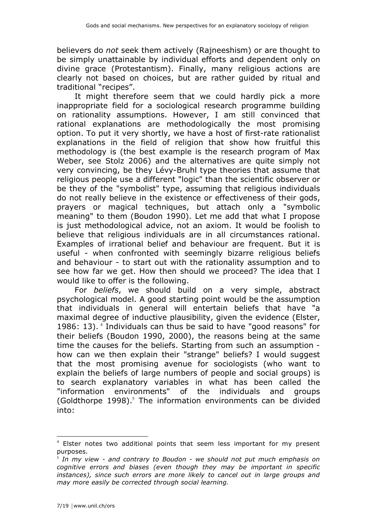believers do *not* seek them actively (Rajneeshism) or are thought to be simply unattainable by individual efforts and dependent only on divine grace (Protestantism). Finally, many religious actions are clearly not based on choices, but are rather guided by ritual and traditional "recipes".

It might therefore seem that we could hardly pick a more inappropriate field for a sociological research programme building on rationality assumptions. However, I am still convinced that rational explanations are methodologically the most promising option. To put it very shortly, we have a host of first-rate rationalist explanations in the field of religion that show how fruitful this methodology is (the best example is the research program of Max Weber, see Stolz 2006) and the alternatives are quite simply not very convincing, be they Lévy-Bruhl type theories that assume that religious people use a different "logic" than the scientific observer or be they of the "symbolist" type, assuming that religious individuals do not really believe in the existence or effectiveness of their gods, prayers or magical techniques, but attach only a "symbolic meaning" to them (Boudon 1990). Let me add that what I propose is just methodological advice, not an axiom. It would be foolish to believe that religious individuals are in all circumstances rational. Examples of irrational belief and behaviour are frequent. But it is useful - when confronted with seemingly bizarre religious beliefs and behaviour - to start out with the rationality assumption and to see how far we get. How then should we proceed? The idea that I would like to offer is the following.

For *beliefs*, we should build on a very simple, abstract psychological model. A good starting point would be the assumption that individuals in general will entertain beliefs that have "a maximal degree of inductive plausibility, given the evidence (Elster, 1986: 13). <sup>4</sup> Individuals can thus be said to have "good reasons" for their beliefs (Boudon 1990, 2000), the reasons being at the same time the causes for the beliefs. Starting from such an assumption how can we then explain their "strange" beliefs? I would suggest that the most promising avenue for sociologists (who want to explain the beliefs of large numbers of people and social groups) is to search explanatory variables in what has been called the "information environments" of the individuals and groups (Goldthorpe 1998). $5$  The information environments can be divided into:

 $\frac{1}{4}$  $4$  Elster notes two additional points that seem less important for my present purposes.

<sup>5</sup> *In my view - and contrary to Boudon - we should not put much emphasis on cognitive errors and biases (even though they may be important in specific*  instances), since such errors are more likely to cancel out in large groups and *may more easily be corrected through social learning.*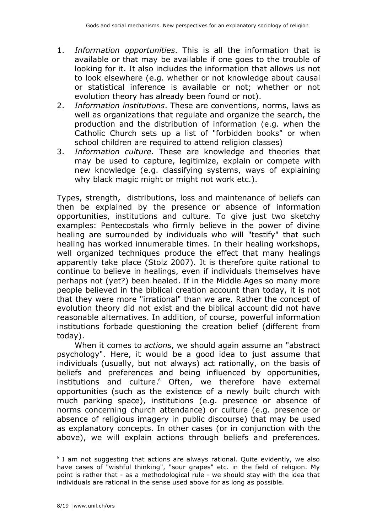- 1. *Information opportunities*. This is all the information that is available or that may be available if one goes to the trouble of looking for it. It also includes the information that allows us not to look elsewhere (e.g. whether or not knowledge about causal or statistical inference is available or not; whether or not evolution theory has already been found or not).
- 2. *Information institutions*. These are conventions, norms, laws as well as organizations that regulate and organize the search, the production and the distribution of information (e.g. when the Catholic Church sets up a list of "forbidden books" or when school children are required to attend religion classes)
- 3. *Information culture*. These are knowledge and theories that may be used to capture, legitimize, explain or compete with new knowledge (e.g. classifying systems, ways of explaining why black magic might or might not work etc.).

Types, strength, distributions, loss and maintenance of beliefs can then be explained by the presence or absence of information opportunities, institutions and culture. To give just two sketchy examples: Pentecostals who firmly believe in the power of divine healing are surrounded by individuals who will "testify" that such healing has worked innumerable times. In their healing workshops, well organized techniques produce the effect that many healings apparently take place (Stolz 2007). It is therefore quite rational to continue to believe in healings, even if individuals themselves have perhaps not (yet?) been healed. If in the Middle Ages so many more people believed in the biblical creation account than today, it is not that they were more "irrational" than we are. Rather the concept of evolution theory did not exist and the biblical account did not have reasonable alternatives. In addition, of course, powerful information institutions forbade questioning the creation belief (different from today).

When it comes to *actions*, we should again assume an "abstract psychology". Here, it would be a good idea to just assume that individuals (usually, but not always) act rationally, on the basis of beliefs and preferences and being influenced by opportunities, institutions and culture.<sup>6</sup> Often, we therefore have external opportunities (such as the existence of a newly built church with much parking space), institutions (e.g. presence or absence of norms concerning church attendance) or culture (e.g. presence or absence of religious imagery in public discourse) that may be used as explanatory concepts. In other cases (or in conjunction with the above), we will explain actions through beliefs and preferences.

 $\frac{1}{6}$  $6$  I am not suggesting that actions are always rational. Quite evidently, we also have cases of "wishful thinking", "sour grapes" etc. in the field of religion. My point is rather that - as a methodological rule - we should stay with the idea that individuals are rational in the sense used above for as long as possible.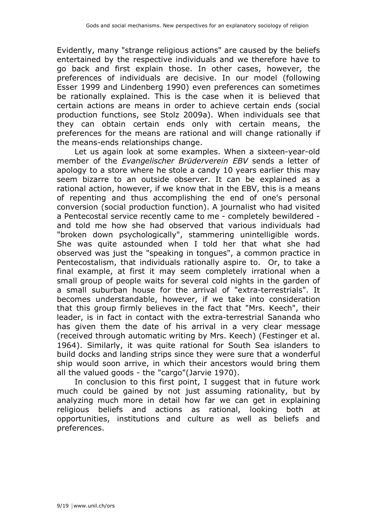Evidently, many "strange religious actions" are caused by the beliefs entertained by the respective individuals and we therefore have to go back and first explain those. In other cases, however, the preferences of individuals are decisive. In our model (following Esser 1999 and Lindenberg 1990) even preferences can sometimes be rationally explained. This is the case when it is believed that certain actions are means in order to achieve certain ends (social production functions, see Stolz 2009a). When individuals see that they can obtain certain ends only with certain means, the preferences for the means are rational and will change rationally if the means-ends relationships change.

Let us again look at some examples. When a sixteen-year-old member of the *Evangelischer Brüderverein EBV* sends a letter of apology to a store where he stole a candy 10 years earlier this may seem bizarre to an outside observer. It can be explained as a rational action, however, if we know that in the EBV, this is a means of repenting and thus accomplishing the end of one's personal conversion (social production function). A journalist who had visited a Pentecostal service recently came to me - completely bewildered and told me how she had observed that various individuals had "broken down psychologically", stammering unintelligible words. She was quite astounded when I told her that what she had observed was just the "speaking in tongues", a common practice in Pentecostalism, that individuals rationally aspire to. Or, to take a final example, at first it may seem completely irrational when a small group of people waits for several cold nights in the garden of a small suburban house for the arrival of "extra-terrestrials". It becomes understandable, however, if we take into consideration that this group firmly believes in the fact that "Mrs. Keech", their leader, is in fact in contact with the extra-terrestrial Sananda who has given them the date of his arrival in a very clear message (received through automatic writing by Mrs. Keech) (Festinger et al. 1964). Similarly, it was quite rational for South Sea islanders to build docks and landing strips since they were sure that a wonderful ship would soon arrive, in which their ancestors would bring them all the valued goods - the "cargo"(Jarvie 1970).

In conclusion to this first point, I suggest that in future work much could be gained by not just assuming rationality, but by analyzing much more in detail how far we can get in explaining religious beliefs and actions as rational, looking both at opportunities, institutions and culture as well as beliefs and preferences.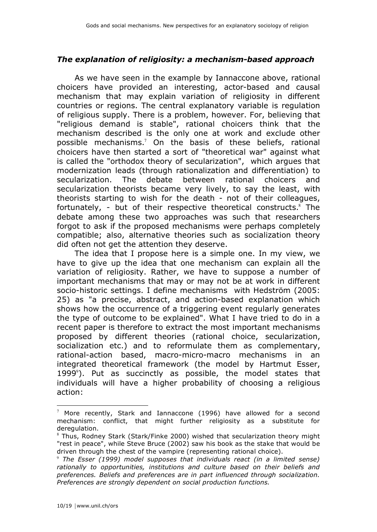### *The explanation of religiosity: a mechanism-based approach*

As we have seen in the example by Iannaccone above, rational choicers have provided an interesting, actor-based and causal mechanism that may explain variation of religiosity in different countries or regions. The central explanatory variable is regulation of religious supply. There is a problem, however. For, believing that "religious demand is stable", rational choicers think that the mechanism described is the only one at work and exclude other possible mechanisms.<sup>7</sup> On the basis of these beliefs, rational choicers have then started a sort of "theoretical war" against what is called the "orthodox theory of secularization", which argues that modernization leads (through rationalization and differentiation) to secularization. The debate between rational choicers and secularization theorists became very lively, to say the least, with theorists starting to wish for the death - not of their colleagues, fortunately, - but of their respective theoretical constructs.<sup>8</sup> The debate among these two approaches was such that researchers forgot to ask if the proposed mechanisms were perhaps completely compatible; also, alternative theories such as socialization theory did often not get the attention they deserve.

The idea that I propose here is a simple one. In my view, we have to give up the idea that one mechanism can explain all the variation of religiosity. Rather, we have to suppose a number of important mechanisms that may or may not be at work in different socio-historic settings. I define mechanisms with Hedström (2005: 25) as "a precise, abstract, and action-based explanation which shows how the occurrence of a triggering event regularly generates the type of outcome to be explained". What I have tried to do in a recent paper is therefore to extract the most important mechanisms proposed by different theories (rational choice, secularization, socialization etc.) and to reformulate them as complementary, rational-action based, macro-micro-macro mechanisms in an integrated theoretical framework (the model by Hartmut Esser, 1999<sup>°</sup>). Put as succinctly as possible, the model states that individuals will have a higher probability of choosing a religious action:

<sup>&</sup>lt;sup>-</sup>  $\frac{7}{7}$  More recently, Stark and Iannaccone (1996) have allowed for a second mechanism: conflict, that might further religiosity as a substitute for deregulation.

<sup>&</sup>lt;sup>8</sup> Thus, Rodney Stark (Stark/Finke 2000) wished that secularization theory might "rest in peace", while Steve Bruce (2002) saw his book as the stake that would be driven through the chest of the vampire (representing rational choice).

<sup>9</sup> *The Esser (1999) model supposes that individuals react (in a limited sense) rationally to opportunities, institutions and culture based on their beliefs and preferences. Beliefs and preferences are in part influenced through socialization. Preferences are strongly dependent on social production functions.*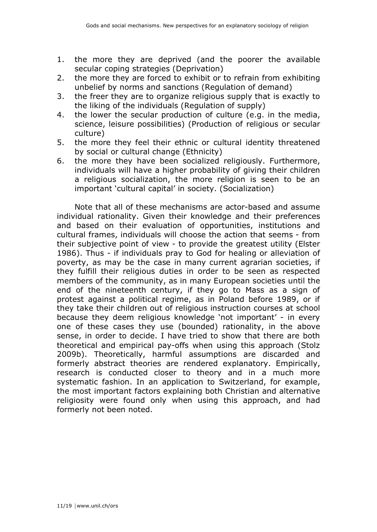- 1. the more they are deprived (and the poorer the available secular coping strategies (Deprivation)
- 2. the more they are forced to exhibit or to refrain from exhibiting unbelief by norms and sanctions (Regulation of demand)
- 3. the freer they are to organize religious supply that is exactly to the liking of the individuals (Regulation of supply)
- 4. the lower the secular production of culture (e.g. in the media, science, leisure possibilities) (Production of religious or secular culture)
- 5. the more they feel their ethnic or cultural identity threatened by social or cultural change (Ethnicity)
- 6. the more they have been socialized religiously. Furthermore, individuals will have a higher probability of giving their children a religious socialization, the more religion is seen to be an important 'cultural capital' in society. (Socialization)

Note that all of these mechanisms are actor-based and assume individual rationality. Given their knowledge and their preferences and based on their evaluation of opportunities, institutions and cultural frames, individuals will choose the action that seems - from their subjective point of view - to provide the greatest utility (Elster 1986). Thus - if individuals pray to God for healing or alleviation of poverty, as may be the case in many current agrarian societies, if they fulfill their religious duties in order to be seen as respected members of the community, as in many European societies until the end of the nineteenth century, if they go to Mass as a sign of protest against a political regime, as in Poland before 1989, or if they take their children out of religious instruction courses at school because they deem religious knowledge 'not important' - in every one of these cases they use (bounded) rationality, in the above sense, in order to decide. I have tried to show that there are both theoretical and empirical pay-offs when using this approach (Stolz 2009b). Theoretically, harmful assumptions are discarded and formerly abstract theories are rendered explanatory. Empirically, research is conducted closer to theory and in a much more systematic fashion. In an application to Switzerland, for example, the most important factors explaining both Christian and alternative religiosity were found only when using this approach, and had formerly not been noted.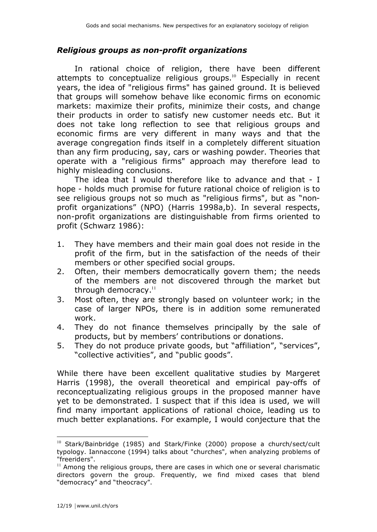### *Religious groups as non-profit organizations*

In rational choice of religion, there have been different attempts to conceptualize religious groups.<sup>10</sup> Especially in recent years, the idea of "religious firms" has gained ground. It is believed that groups will somehow behave like economic firms on economic markets: maximize their profits, minimize their costs, and change their products in order to satisfy new customer needs etc. But it does not take long reflection to see that religious groups and economic firms are very different in many ways and that the average congregation finds itself in a completely different situation than any firm producing, say, cars or washing powder. Theories that operate with a "religious firms" approach may therefore lead to highly misleading conclusions.

The idea that I would therefore like to advance and that - I hope - holds much promise for future rational choice of religion is to see religious groups not so much as "religious firms", but as "nonprofit organizations" (NPO) (Harris 1998a,b). In several respects, non-profit organizations are distinguishable from firms oriented to profit (Schwarz 1986):

- 1. They have members and their main goal does not reside in the profit of the firm, but in the satisfaction of the needs of their members or other specified social groups.
- 2. Often, their members democratically govern them; the needs of the members are not discovered through the market but through democracy. $11$
- 3. Most often, they are strongly based on volunteer work; in the case of larger NPOs, there is in addition some remunerated work.
- 4. They do not finance themselves principally by the sale of products, but by members' contributions or donations.
- 5. They do not produce private goods, but "affiliation", "services", "collective activities", and "public goods".

While there have been excellent qualitative studies by Margeret Harris (1998), the overall theoretical and empirical pay-offs of reconceptualizating religious groups in the proposed manner have yet to be demonstrated. I suspect that if this idea is used, we will find many important applications of rational choice, leading us to much better explanations. For example, I would conjecture that the

<sup>&</sup>lt;sup>10</sup> Stark/Bainbridge (1985) and Stark/Finke (2000) propose a church/sect/cult typology. Iannaccone (1994) talks about "churches", when analyzing problems of "freeriders".

 $11$  Among the religious groups, there are cases in which one or several charismatic directors govern the group. Frequently, we find mixed cases that blend "democracy" and "theocracy".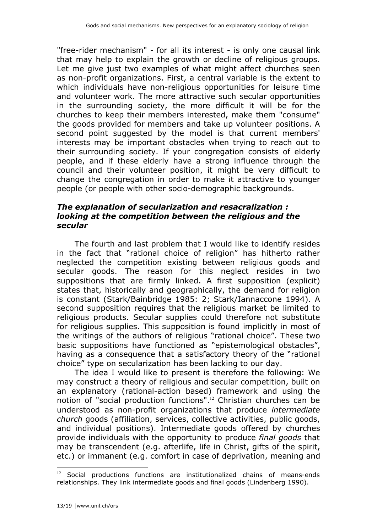"free-rider mechanism" - for all its interest - is only one causal link that may help to explain the growth or decline of religious groups. Let me give just two examples of what might affect churches seen as non-profit organizations. First, a central variable is the extent to which individuals have non-religious opportunities for leisure time and volunteer work. The more attractive such secular opportunities in the surrounding society, the more difficult it will be for the churches to keep their members interested, make them "consume" the goods provided for members and take up volunteer positions. A second point suggested by the model is that current members' interests may be important obstacles when trying to reach out to their surrounding society. If your congregation consists of elderly people, and if these elderly have a strong influence through the council and their volunteer position, it might be very difficult to change the congregation in order to make it attractive to younger people (or people with other socio-demographic backgrounds.

#### *The explanation of secularization and resacralization : looking at the competition between the religious and the secular*

The fourth and last problem that I would like to identify resides in the fact that "rational choice of religion" has hitherto rather neglected the competition existing between religious goods and secular goods. The reason for this neglect resides in two suppositions that are firmly linked. A first supposition (explicit) states that, historically and geographically, the demand for religion is constant (Stark/Bainbridge 1985: 2; Stark/Iannaccone 1994). A second supposition requires that the religious market be limited to religious products. Secular supplies could therefore not substitute for religious supplies. This supposition is found implicitly in most of the writings of the authors of religious "rational choice". These two basic suppositions have functioned as "epistemological obstacles", having as a consequence that a satisfactory theory of the "rational choice" type on secularization has been lacking to our day.

The idea I would like to present is therefore the following: We may construct a theory of religious and secular competition, built on an explanatory (rational-action based) framework and using the notion of "social production functions".<sup>12</sup> Christian churches can be understood as non-profit organizations that produce *intermediate church* goods (affiliation, services, collective activities, public goods, and individual positions). Intermediate goods offered by churches provide individuals with the opportunity to produce *final goods* that may be transcendent (e.g. afterlife, life in Christ, gifts of the spirit, etc.) or immanent (e.g. comfort in case of deprivation, meaning and

 $12$  Social productions functions are institutionalized chains of means-ends relationships. They link intermediate goods and final goods (Lindenberg 1990).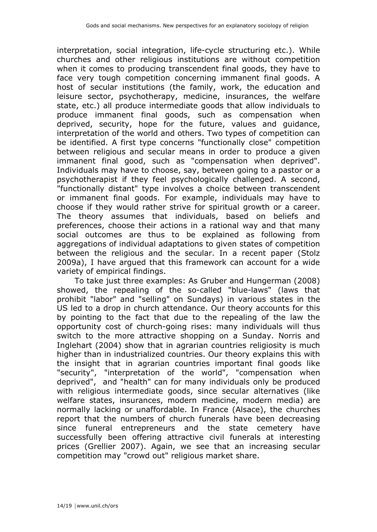interpretation, social integration, life-cycle structuring etc.). While churches and other religious institutions are without competition when it comes to producing transcendent final goods, they have to face very tough competition concerning immanent final goods. A host of secular institutions (the family, work, the education and leisure sector, psychotherapy, medicine, insurances, the welfare state, etc.) all produce intermediate goods that allow individuals to produce immanent final goods, such as compensation when deprived, security, hope for the future, values and guidance, interpretation of the world and others. Two types of competition can be identified. A first type concerns "functionally close" competition between religious and secular means in order to produce a given immanent final good, such as "compensation when deprived". Individuals may have to choose, say, between going to a pastor or a psychotherapist if they feel psychologically challenged. A second, "functionally distant" type involves a choice between transcendent or immanent final goods. For example, individuals may have to choose if they would rather strive for spiritual growth or a career. The theory assumes that individuals, based on beliefs and preferences, choose their actions in a rational way and that many social outcomes are thus to be explained as following from aggregations of individual adaptations to given states of competition between the religious and the secular. In a recent paper (Stolz 2009a), I have argued that this framework can account for a wide variety of empirical findings.

To take just three examples: As Gruber and Hungerman (2008) showed, the repealing of the so-called "blue-laws" (laws that prohibit "labor" and "selling" on Sundays) in various states in the US led to a drop in church attendance. Our theory accounts for this by pointing to the fact that due to the repealing of the law the opportunity cost of church-going rises: many individuals will thus switch to the more attractive shopping on a Sunday. Norris and Inglehart (2004) show that in agrarian countries religiosity is much higher than in industrialized countries. Our theory explains this with the insight that in agrarian countries important final goods like "security", "interpretation of the world", "compensation when deprived", and "health" can for many individuals only be produced with religious intermediate goods, since secular alternatives (like welfare states, insurances, modern medicine, modern media) are normally lacking or unaffordable. In France (Alsace), the churches report that the numbers of church funerals have been decreasing since funeral entrepreneurs and the state cemetery have successfully been offering attractive civil funerals at interesting prices (Grellier 2007). Again, we see that an increasing secular competition may "crowd out" religious market share.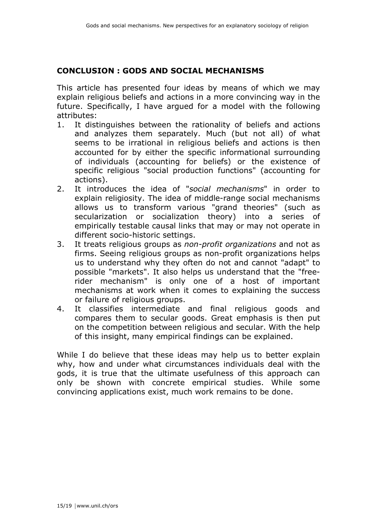### **CONCLUSION : GODS AND SOCIAL MECHANISMS**

This article has presented four ideas by means of which we may explain religious beliefs and actions in a more convincing way in the future. Specifically, I have argued for a model with the following attributes:

- 1. It distinguishes between the rationality of beliefs and actions and analyzes them separately. Much (but not all) of what seems to be irrational in religious beliefs and actions is then accounted for by either the specific informational surrounding of individuals (accounting for beliefs) or the existence of specific religious "social production functions" (accounting for actions).
- 2. It introduces the idea of "*social mechanisms*" in order to explain religiosity. The idea of middle-range social mechanisms allows us to transform various "grand theories" (such as secularization or socialization theory) into a series of empirically testable causal links that may or may not operate in different socio-historic settings.
- 3. It treats religious groups as *non-profit organizations* and not as firms. Seeing religious groups as non-profit organizations helps us to understand why they often do not and cannot "adapt" to possible "markets". It also helps us understand that the "freerider mechanism" is only one of a host of important mechanisms at work when it comes to explaining the success or failure of religious groups.
- 4. It classifies intermediate and final religious goods and compares them to secular goods. Great emphasis is then put on the competition between religious and secular. With the help of this insight, many empirical findings can be explained.

While I do believe that these ideas may help us to better explain why, how and under what circumstances individuals deal with the gods, it is true that the ultimate usefulness of this approach can only be shown with concrete empirical studies. While some convincing applications exist, much work remains to be done.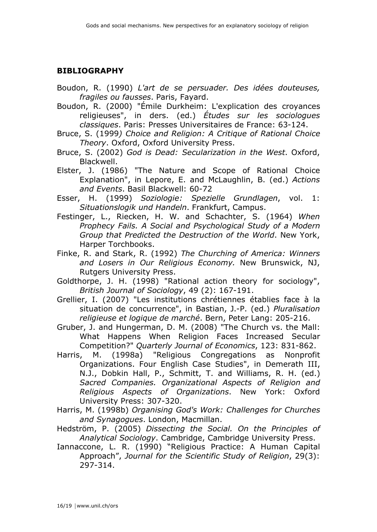### **BIBLIOGRAPHY**

- Boudon, R. (1990) *L'art de se persuader. Des idées douteuses, fragiles ou fausses*. Paris, Fayard.
- Boudon, R. (2000) "Émile Durkheim: L'explication des croyances religieuses", in ders. (ed.) *Études sur les sociologues classiques*. Paris: Presses Universitaires de France: 63-124.
- Bruce, S. (1999*) Choice and Religion: A Critique of Rational Choice Theory*. Oxford, Oxford University Press.
- Bruce, S. (2002) *God is Dead: Secularization in the West*. Oxford, Blackwell.
- Elster, J. (1986) "The Nature and Scope of Rational Choice Explanation", in Lepore, E. and McLaughlin, B. (ed.) *Actions and Events*. Basil Blackwell: 60-72
- Esser, H. (1999) *Soziologie: Spezielle Grundlagen*, vol. 1: *Situationslogik und Handeln*. Frankfurt, Campus.
- Festinger, L., Riecken, H. W. and Schachter, S. (1964) *When Prophecy Fails. A Social and Psychological Study of a Modern Group that Predicted the Destruction of the World*. New York, Harper Torchbooks.
- Finke, R. and Stark, R. (1992) *The Churching of America: Winners and Losers in Our Religious Economy.* New Brunswick, NJ, Rutgers University Press.
- Goldthorpe, J. H. (1998) "Rational action theory for sociology", *British Journal of Sociology*, 49 (2): 167-191.
- Grellier, I. (2007) "Les institutions chrétiennes établies face à la situation de concurrence", in Bastian, J.-P. (ed.) *Pluralisation religieuse et logique de marché*. Bern, Peter Lang: 205-216.
- Gruber, J. and Hungerman, D. M. (2008) "The Church vs. the Mall: What Happens When Religion Faces Increased Secular Competition?" *Quarterly Journal of Economics*, 123: 831-862.
- Harris, M. (1998a) "Religious Congregations as Nonprofit Organizations. Four English Case Studies", in Demerath III, N.J., Dobkin Hall, P., Schmitt, T. and Williams, R. H. (ed.) *Sacred Companies. Organizational Aspects of Religion and Religious Aspects of Organizations*. New York: Oxford University Press: 307-320.
- Harris, M. (1998b) *Organising God's Work: Challenges for Churches and Synagogues*. London, Macmillan.
- Hedström, P. (2005) *Dissecting the Social. On the Principles of Analytical Sociology*. Cambridge, Cambridge University Press.
- Iannaccone, L. R. (1990) "Religious Practice: A Human Capital Approach", *Journal for the Scientific Study of Religion*, 29(3): 297-314.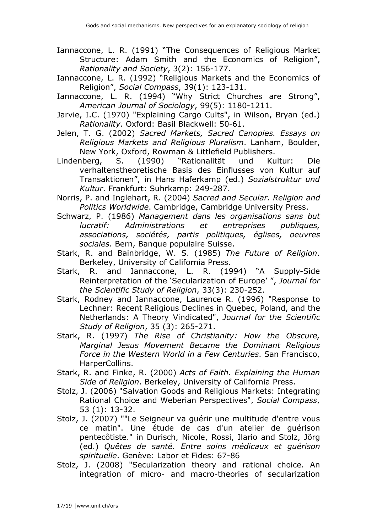- Iannaccone, L. R. (1991) "The Consequences of Religious Market Structure: Adam Smith and the Economics of Religion", *Rationality and Society*, 3(2): 156-177.
- Iannaccone, L. R. (1992) "Religious Markets and the Economics of Religion", *Social Compass*, 39(1): 123-131.
- Iannaccone, L. R. (1994) "Why Strict Churches are Strong", *American Journal of Sociology*, 99(5): 1180-1211.
- Jarvie, I.C. (1970) "Explaining Cargo Cults", in Wilson, Bryan (ed.) *Rationality*. Oxford: Basil Blackwell: 50-61.
- Jelen, T. G. (2002) *Sacred Markets, Sacred Canopies. Essays on Religious Markets and Religious Pluralism*. Lanham, Boulder, New York, Oxford, Rowman & Littlefield Publishers.
- Lindenberg, S. (1990) "Rationalität und Kultur: Die verhaltenstheoretische Basis des Einflusses von Kultur auf Transaktionen", in Hans Haferkamp (ed.) *Sozialstruktur und Kultur*. Frankfurt: Suhrkamp: 249-287.
- Norris, P. and Inglehart, R. (2004) *Sacred and Secular. Religion and Politics Worldwide*. Cambridge, Cambridge University Press.
- Schwarz, P. (1986) *Management dans les organisations sans but lucratif: Administrations et entreprises publiques, associations, sociétés, partis politiques, églises, oeuvres sociales*. Bern, Banque populaire Suisse.
- Stark, R. and Bainbridge, W. S. (1985) *The Future of Religion*. Berkeley, University of California Press.
- Stark, R. and Iannaccone, L. R. (1994) "A Supply-Side Reinterpretation of the 'Secularization of Europe' ", *Journal for the Scientific Study of Religion*, 33(3): 230-252.
- Stark, Rodney and Iannaccone, Laurence R. (1996) "Response to Lechner: Recent Religious Declines in Quebec, Poland, and the Netherlands: A Theory Vindicated", *Journal for the Scientific Study of Religion*, 35 (3): 265-271.
- Stark, R. (1997) *The Rise of Christianity: How the Obscure, Marginal Jesus Movement Became the Dominant Religious Force in the Western World in a Few Centuries*. San Francisco, HarperCollins.
- Stark, R. and Finke, R. (2000) *Acts of Faith. Explaining the Human Side of Religion*. Berkeley, University of California Press.
- Stolz, J. (2006) "Salvation Goods and Religious Markets: Integrating Rational Choice and Weberian Perspectives", *Social Compass*, 53 (1): 13-32.
- Stolz, J. (2007) ""Le Seigneur va guérir une multitude d'entre vous ce matin". Une étude de cas d'un atelier de guérison pentecôtiste." in Durisch, Nicole, Rossi, Ilario and Stolz, Jörg (ed.) *Quêtes de santé. Entre soins médicaux et guérison spirituelle*. Genève: Labor et Fides: 67-86
- Stolz, J. (2008) "Secularization theory and rational choice. An integration of micro- and macro-theories of secularization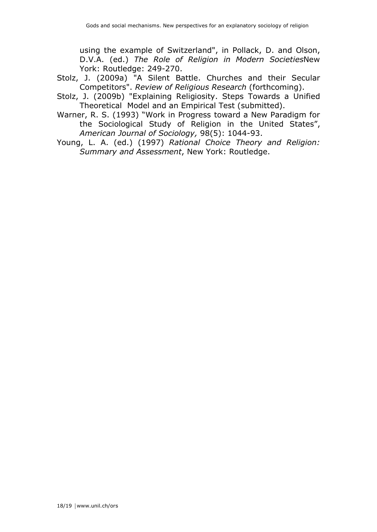using the example of Switzerland", in Pollack, D. and Olson, D.V.A. (ed.) *The Role of Religion in Modern Societies*New York: Routledge: 249-270.

- Stolz, J. (2009a) "A Silent Battle. Churches and their Secular Competitors". *Review of Religious Research* (forthcoming).
- Stolz, J. (2009b) "Explaining Religiosity. Steps Towards a Unified Theoretical Model and an Empirical Test (submitted).
- Warner, R. S. (1993) "Work in Progress toward a New Paradigm for the Sociological Study of Religion in the United States", *American Journal of Sociology,* 98(5): 1044-93.
- Young, L. A. (ed.) (1997) *Rational Choice Theory and Religion: Summary and Assessment*, New York: Routledge.